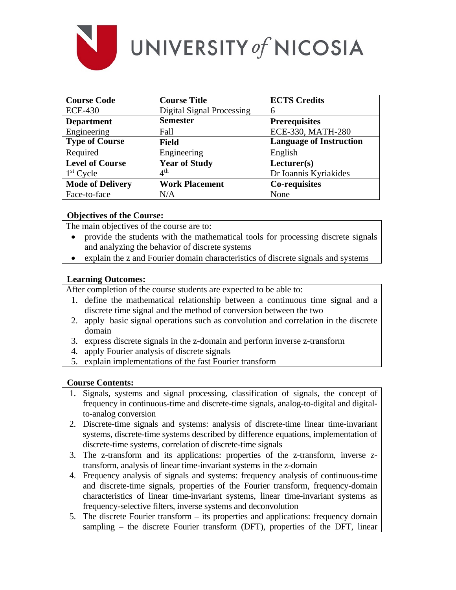

# UNIVERSITY of NICOSIA

| <b>Course Code</b>      | <b>Course Title</b>              | <b>ECTS Credits</b>            |
|-------------------------|----------------------------------|--------------------------------|
| <b>ECE-430</b>          | <b>Digital Signal Processing</b> | 6                              |
| <b>Department</b>       | <b>Semester</b>                  | <b>Prerequisites</b>           |
| Engineering             | Fall                             | ECE-330, MATH-280              |
| <b>Type of Course</b>   | <b>Field</b>                     | <b>Language of Instruction</b> |
| Required                | Engineering                      | English                        |
| <b>Level of Course</b>  | <b>Year of Study</b>             | Lecturer(s)                    |
| $1st$ Cycle             | $4^{\text{th}}$                  | Dr Ioannis Kyriakides          |
| <b>Mode of Delivery</b> | <b>Work Placement</b>            | Co-requisites                  |
| Face-to-face            | N/A                              | None                           |

# **Objectives of the Course:**

The main objectives of the course are to:

- provide the students with the mathematical tools for processing discrete signals and analyzing the behavior of discrete systems
- explain the z and Fourier domain characteristics of discrete signals and systems

# **Learning Outcomes:**

After completion of the course students are expected to be able to:

- 1. define the mathematical relationship between a continuous time signal and a discrete time signal and the method of conversion between the two
- 2. apply basic signal operations such as convolution and correlation in the discrete domain
- 3. express discrete signals in the z-domain and perform inverse z-transform
- 4. apply Fourier analysis of discrete signals
- 5. explain implementations of the fast Fourier transform

### **Course Contents:**

- 1. Signals, systems and signal processing, classification of signals, the concept of frequency in continuous-time and discrete-time signals, analog-to-digital and digitalto-analog conversion
- 2. Discrete-time signals and systems: analysis of discrete-time linear time-invariant systems, discrete-time systems described by difference equations, implementation of discrete-time systems, correlation of discrete-time signals
- 3. The z-transform and its applications: properties of the z-transform, inverse ztransform, analysis of linear time-invariant systems in the z-domain
- 4. Frequency analysis of signals and systems: frequency analysis of continuous-time and discrete-time signals, properties of the Fourier transform, frequency-domain characteristics of linear time-invariant systems, linear time-invariant systems as frequency-selective filters, inverse systems and deconvolution
- 5. The discrete Fourier transform its properties and applications: frequency domain sampling – the discrete Fourier transform (DFT), properties of the DFT, linear